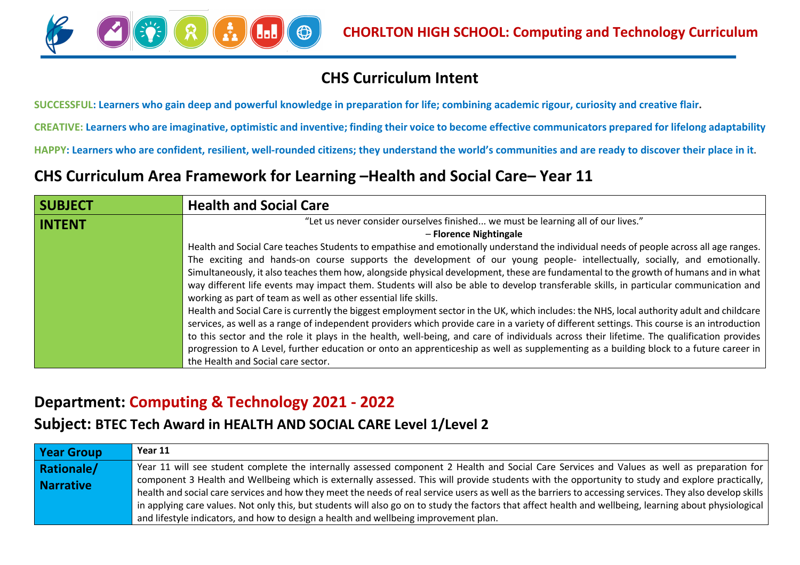

## **CHS Curriculum Intent**

**SUCCESSFUL: Learners who gain deep and powerful knowledge in preparation for life; combining academic rigour, curiosity and creative flair.**

**CREATIVE: Learners who are imaginative, optimistic and inventive; finding their voice to become effective communicators prepared for lifelong adaptability**

**HAPPY: Learners who are confident, resilient, well-rounded citizens; they understand the world's communities and are ready to discover their place in it.**

### **CHS Curriculum Area Framework for Learning –Health and Social Care– Year 11**

| <b>SUBJECT</b> | <b>Health and Social Care</b>                                                                                                                                                                                                                                                                                                                                                                                                                                                                                                                                                                                                                                                                                                                                                                                                                                                    |
|----------------|----------------------------------------------------------------------------------------------------------------------------------------------------------------------------------------------------------------------------------------------------------------------------------------------------------------------------------------------------------------------------------------------------------------------------------------------------------------------------------------------------------------------------------------------------------------------------------------------------------------------------------------------------------------------------------------------------------------------------------------------------------------------------------------------------------------------------------------------------------------------------------|
| <b>INTENT</b>  | "Let us never consider ourselves finished we must be learning all of our lives."<br>- Florence Nightingale<br>Health and Social Care teaches Students to empathise and emotionally understand the individual needs of people across all age ranges.<br>The exciting and hands-on course supports the development of our young people- intellectually, socially, and emotionally.<br>Simultaneously, it also teaches them how, alongside physical development, these are fundamental to the growth of humans and in what<br>way different life events may impact them. Students will also be able to develop transferable skills, in particular communication and<br>working as part of team as well as other essential life skills.<br>Health and Social Care is currently the biggest employment sector in the UK, which includes: the NHS, local authority adult and childcare |
|                | services, as well as a range of independent providers which provide care in a variety of different settings. This course is an introduction<br>to this sector and the role it plays in the health, well-being, and care of individuals across their lifetime. The qualification provides<br>progression to A Level, further education or onto an apprenticeship as well as supplementing as a building block to a future career in<br>the Health and Social care sector.                                                                                                                                                                                                                                                                                                                                                                                                         |

### **Department: Computing & Technology 2021 - 2022**

#### **Subject: BTEC Tech Award in HEALTH AND SOCIAL CARE Level 1/Level 2**

| <b>Year Group</b> | Year 11                                                                                                                                                   |
|-------------------|-----------------------------------------------------------------------------------------------------------------------------------------------------------|
| <b>Rationale/</b> | Year 11 will see student complete the internally assessed component 2 Health and Social Care Services and Values as well as preparation for               |
| <b>Narrative</b>  | component 3 Health and Wellbeing which is externally assessed. This will provide students with the opportunity to study and explore practically, I        |
|                   | health and social care services and how they meet the needs of real service users as well as the barriers to accessing services. They also develop skills |
|                   | in applying care values. Not only this, but students will also go on to study the factors that affect health and wellbeing, learning about physiological  |
|                   | and lifestyle indicators, and how to design a health and wellbeing improvement plan.                                                                      |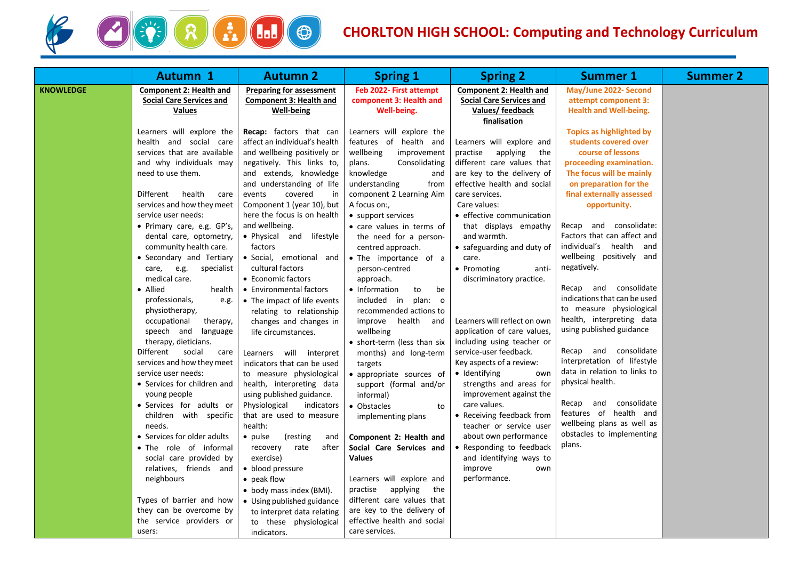

# **CHORLTON HIGH SCHOOL: Computing and Technology Curriculum**

|                  | <b>Autumn 1</b>                                                                                                                                                                                                                                                                                                                                                                                                                                                                                                                                                                                                                                                                                                                                                                                                                                                                                                                                      | <b>Autumn 2</b>                                                                                                                                                                                                                                                                                                                                                                                                                                                                                                                                                                                                                                                                                                                                                                                                                                                                                                                                                                              | <b>Spring 1</b>                                                                                                                                                                                                                                                                                                                                                                                                                                                                                                                                                                                                                                                                                                                                                                                                                                                                                   | <b>Spring 2</b>                                                                                                                                                                                                                                                                                                                                                                                                                                                                                                                                                                                                                                                                                                                                                                                | <b>Summer 1</b>                                                                                                                                                                                                                                                                                                                                                                                                                                                                                                                                                                                                                                                                                                          | <b>Summer 2</b> |
|------------------|------------------------------------------------------------------------------------------------------------------------------------------------------------------------------------------------------------------------------------------------------------------------------------------------------------------------------------------------------------------------------------------------------------------------------------------------------------------------------------------------------------------------------------------------------------------------------------------------------------------------------------------------------------------------------------------------------------------------------------------------------------------------------------------------------------------------------------------------------------------------------------------------------------------------------------------------------|----------------------------------------------------------------------------------------------------------------------------------------------------------------------------------------------------------------------------------------------------------------------------------------------------------------------------------------------------------------------------------------------------------------------------------------------------------------------------------------------------------------------------------------------------------------------------------------------------------------------------------------------------------------------------------------------------------------------------------------------------------------------------------------------------------------------------------------------------------------------------------------------------------------------------------------------------------------------------------------------|---------------------------------------------------------------------------------------------------------------------------------------------------------------------------------------------------------------------------------------------------------------------------------------------------------------------------------------------------------------------------------------------------------------------------------------------------------------------------------------------------------------------------------------------------------------------------------------------------------------------------------------------------------------------------------------------------------------------------------------------------------------------------------------------------------------------------------------------------------------------------------------------------|------------------------------------------------------------------------------------------------------------------------------------------------------------------------------------------------------------------------------------------------------------------------------------------------------------------------------------------------------------------------------------------------------------------------------------------------------------------------------------------------------------------------------------------------------------------------------------------------------------------------------------------------------------------------------------------------------------------------------------------------------------------------------------------------|--------------------------------------------------------------------------------------------------------------------------------------------------------------------------------------------------------------------------------------------------------------------------------------------------------------------------------------------------------------------------------------------------------------------------------------------------------------------------------------------------------------------------------------------------------------------------------------------------------------------------------------------------------------------------------------------------------------------------|-----------------|
| <b>KNOWLEDGE</b> | <b>Component 2: Health and</b><br><b>Social Care Services and</b><br><b>Values</b>                                                                                                                                                                                                                                                                                                                                                                                                                                                                                                                                                                                                                                                                                                                                                                                                                                                                   | <b>Preparing for assessment</b><br><b>Component 3: Health and</b><br><b>Well-being</b>                                                                                                                                                                                                                                                                                                                                                                                                                                                                                                                                                                                                                                                                                                                                                                                                                                                                                                       | Feb 2022- First attempt<br>component 3: Health and<br>Well-being.                                                                                                                                                                                                                                                                                                                                                                                                                                                                                                                                                                                                                                                                                                                                                                                                                                 | <b>Component 2: Health and</b><br><b>Social Care Services and</b><br>Values/feedback                                                                                                                                                                                                                                                                                                                                                                                                                                                                                                                                                                                                                                                                                                           | May/June 2022- Second<br>attempt component 3:<br><b>Health and Well-being.</b>                                                                                                                                                                                                                                                                                                                                                                                                                                                                                                                                                                                                                                           |                 |
|                  | Learners will explore the<br>health and social care<br>services that are available<br>and why individuals may<br>need to use them.<br>Different<br>health<br>care<br>services and how they meet<br>service user needs:<br>• Primary care, e.g. GP's,<br>dental care, optometry,<br>community health care.<br>• Secondary and Tertiary<br>care,<br>e.g.<br>specialist<br>medical care.<br>• Allied<br>health<br>professionals,<br>e.g.<br>physiotherapy,<br>occupational<br>therapy,<br>speech and<br>language<br>therapy, dieticians.<br>Different social<br>care<br>services and how they meet<br>service user needs:<br>• Services for children and<br>young people<br>· Services for adults or<br>children with specific<br>needs.<br>• Services for older adults<br>• The role of informal<br>social care provided by<br>relatives, friends and<br>neighbours<br>Types of barrier and how<br>they can be overcome by<br>the service providers or | Recap: factors that can<br>affect an individual's health<br>and wellbeing positively or<br>negatively. This links to,<br>and extends, knowledge<br>and understanding of life<br>covered<br>events<br>in<br>Component 1 (year 10), but<br>here the focus is on health<br>and wellbeing.<br>• Physical and lifestyle<br>factors<br>· Social, emotional and<br>cultural factors<br>• Economic factors<br>• Environmental factors<br>• The impact of life events<br>relating to relationship<br>changes and changes in<br>life circumstances.<br>Learners will interpret<br>indicators that can be used<br>to measure physiological<br>health, interpreting data<br>using published guidance.<br>Physiological<br>indicators<br>that are used to measure<br>health:<br>(resting<br>• pulse<br>and<br>after<br>recovery<br>rate<br>exercise)<br>• blood pressure<br>• peak flow<br>• body mass index (BMI).<br>• Using published guidance<br>to interpret data relating<br>to these physiological | Learners will explore the<br>features of health and<br>wellbeing<br>improvement<br>plans.<br>Consolidating<br>knowledge<br>and<br>understanding<br>from<br>component 2 Learning Aim<br>A focus on:,<br>• support services<br>• care values in terms of<br>the need for a person-<br>centred approach.<br>• The importance of a<br>person-centred<br>approach.<br>• Information<br>to<br>be<br>included in<br>plan: o<br>recommended actions to<br>improve health and<br>wellbeing<br>• short-term (less than six<br>months) and long-term<br>targets<br>• appropriate sources of<br>support (formal and/or<br>informal)<br>• Obstacles<br>to<br>implementing plans<br>Component 2: Health and<br>Social Care Services and<br><b>Values</b><br>Learners will explore and<br>practise<br>applying<br>the<br>different care values that<br>are key to the delivery of<br>effective health and social | finalisation<br>Learners will explore and<br>practise<br>applying<br>the<br>different care values that<br>are key to the delivery of<br>effective health and social<br>care services.<br>Care values:<br>• effective communication<br>that displays empathy<br>and warmth.<br>• safeguarding and duty of<br>care.<br>• Promoting<br>anti-<br>discriminatory practice.<br>Learners will reflect on own<br>application of care values,<br>including using teacher or<br>service-user feedback.<br>Key aspects of a review:<br>• Identifying<br>own<br>strengths and areas for<br>improvement against the<br>care values.<br>• Receiving feedback from<br>teacher or service user<br>about own performance<br>Responding to feedback<br>and identifying ways to<br>improve<br>own<br>performance. | Topics as highlighted by<br>students covered over<br>course of lessons<br>proceeding examination.<br>The focus will be mainly<br>on preparation for the<br>final externally assessed<br>opportunity.<br>Recap and consolidate:<br>Factors that can affect and<br>individual's health and<br>wellbeing positively and<br>negatively.<br>consolidate<br>Recap and<br>indications that can be used<br>to measure physiological<br>health, interpreting data<br>using published guidance<br>Recap and consolidate<br>interpretation of lifestyle<br>data in relation to links to<br>physical health.<br>Recap and consolidate<br>features of health and<br>wellbeing plans as well as<br>obstacles to implementing<br>plans. |                 |
|                  | users:                                                                                                                                                                                                                                                                                                                                                                                                                                                                                                                                                                                                                                                                                                                                                                                                                                                                                                                                               | indicators.                                                                                                                                                                                                                                                                                                                                                                                                                                                                                                                                                                                                                                                                                                                                                                                                                                                                                                                                                                                  | care services.                                                                                                                                                                                                                                                                                                                                                                                                                                                                                                                                                                                                                                                                                                                                                                                                                                                                                    |                                                                                                                                                                                                                                                                                                                                                                                                                                                                                                                                                                                                                                                                                                                                                                                                |                                                                                                                                                                                                                                                                                                                                                                                                                                                                                                                                                                                                                                                                                                                          |                 |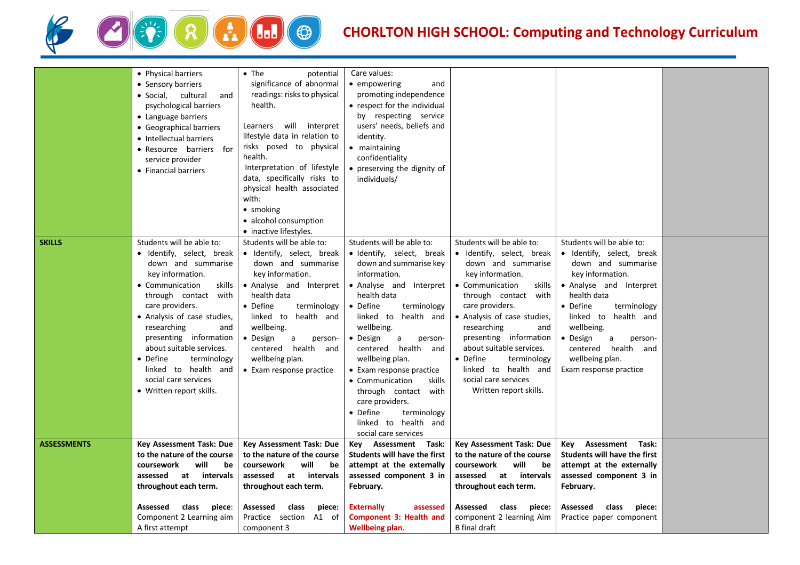

## **CHORLTON HIGH SCHOOL: Computing and Technology Curriculum**

|                    | • Physical barriers<br>• Sensory barriers<br>· Social, cultural<br>and<br>psychological barriers<br>• Language barriers<br>• Geographical barriers<br>• Intellectual barriers<br>• Resource barriers for<br>service provider<br>• Financial barriers                                                                                                                                       | $\bullet$ The<br>potential<br>significance of abnormal<br>readings: risks to physical<br>health.<br>Learners will interpret<br>lifestyle data in relation to<br>risks posed to physical<br>health.<br>Interpretation of lifestyle<br>data, specifically risks to<br>physical health associated<br>with:<br>• smoking<br>• alcohol consumption<br>• inactive lifestyles. | Care values:<br>• empowering<br>and<br>promoting independence<br>• respect for the individual<br>by respecting service<br>users' needs, beliefs and<br>identity.<br>• maintaining<br>confidentiality<br>• preserving the dignity of<br>individuals/                                                                                                                                                                                                                         |                                                                                                                                                                                                                                                                                                                                                                                          |                                                                                                                                                                                                                                                                                                             |  |
|--------------------|--------------------------------------------------------------------------------------------------------------------------------------------------------------------------------------------------------------------------------------------------------------------------------------------------------------------------------------------------------------------------------------------|-------------------------------------------------------------------------------------------------------------------------------------------------------------------------------------------------------------------------------------------------------------------------------------------------------------------------------------------------------------------------|-----------------------------------------------------------------------------------------------------------------------------------------------------------------------------------------------------------------------------------------------------------------------------------------------------------------------------------------------------------------------------------------------------------------------------------------------------------------------------|------------------------------------------------------------------------------------------------------------------------------------------------------------------------------------------------------------------------------------------------------------------------------------------------------------------------------------------------------------------------------------------|-------------------------------------------------------------------------------------------------------------------------------------------------------------------------------------------------------------------------------------------------------------------------------------------------------------|--|
| <b>SKILLS</b>      | Students will be able to:<br>• Identify, select, break<br>down and summarise<br>key information.<br>• Communication<br>skills<br>through contact with<br>care providers.<br>• Analysis of case studies,<br>researching<br>and<br>presenting information<br>about suitable services.<br>• Define<br>terminology<br>linked to health and<br>social care services<br>• Written report skills. | Students will be able to:<br>· Identify, select, break<br>down and summarise<br>key information.<br>• Analyse and Interpret<br>health data<br>• Define<br>terminology<br>linked to health and<br>wellbeing.<br>• Design<br>a<br>person-<br>centered health and<br>wellbeing plan.<br>• Exam response practice                                                           | Students will be able to:<br>· Identify, select, break<br>down and summarise key<br>information.<br>• Analyse and Interpret<br>health data<br>Define<br>terminology<br>$\bullet$<br>linked to health and<br>wellbeing.<br>• Design<br>a<br>person-<br>centered health and<br>wellbeing plan.<br>• Exam response practice<br>• Communication<br>skills<br>through contact with<br>care providers.<br>• Define<br>terminology<br>linked to health and<br>social care services | Students will be able to:<br>· Identify, select, break<br>down and summarise<br>key information.<br>• Communication<br>skills<br>through contact with<br>care providers.<br>• Analysis of case studies,<br>researching<br>and<br>presenting information<br>about suitable services.<br>• Define<br>terminology<br>linked to health and<br>social care services<br>Written report skills. | Students will be able to:<br>· Identify, select, break<br>down and summarise<br>key information.<br>• Analyse and Interpret<br>health data<br>• Define<br>terminology<br>linked to health and<br>wellbeing.<br>• Design<br>a<br>person-<br>centered health and<br>wellbeing plan.<br>Exam response practice |  |
| <b>ASSESSMENTS</b> | <b>Key Assessment Task: Due</b><br>to the nature of the course<br>will<br>coursework<br>be<br>assessed<br>at intervals<br>throughout each term.<br>Assessed<br>class<br>piece:<br>Component 2 Learning aim<br>A first attempt                                                                                                                                                              | Key Assessment Task: Due<br>to the nature of the course<br>will<br>coursework<br>be<br>assessed at intervals<br>throughout each term.<br>Assessed<br>class<br>piece:<br>Practice section A1 of<br>component 3                                                                                                                                                           | Key Assessment Task:<br><b>Students will have the first</b><br>attempt at the externally<br>assessed component 3 in<br>February.<br><b>Externally</b><br>assessed<br>Component 3: Health and<br><b>Wellbeing plan.</b>                                                                                                                                                                                                                                                      | Key Assessment Task: Due<br>to the nature of the course<br>coursework<br>will<br>be<br>assessed at intervals<br>throughout each term.<br>Assessed<br>class<br>piece:<br>component 2 learning Aim<br><b>B</b> final draft                                                                                                                                                                 | Assessment Task:<br>Kev<br><b>Students will have the first</b><br>attempt at the externally<br>assessed component 3 in<br>February.<br>Assessed<br>class<br>piece:<br>Practice paper component                                                                                                              |  |